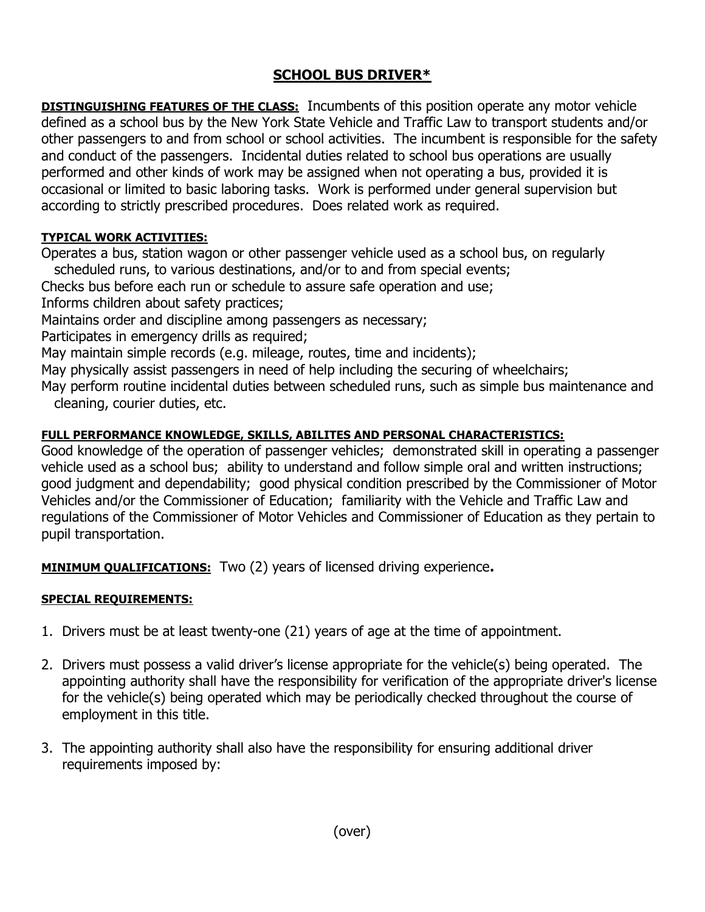## SCHOOL BUS DRIVER\*

**DISTINGUISHING FEATURES OF THE CLASS:** Incumbents of this position operate any motor vehicle defined as a school bus by the New York State Vehicle and Traffic Law to transport students and/or other passengers to and from school or school activities. The incumbent is responsible for the safety and conduct of the passengers. Incidental duties related to school bus operations are usually performed and other kinds of work may be assigned when not operating a bus, provided it is occasional or limited to basic laboring tasks. Work is performed under general supervision but according to strictly prescribed procedures. Does related work as required.

## TYPICAL WORK ACTIVITIES:

Operates a bus, station wagon or other passenger vehicle used as a school bus, on regularly

scheduled runs, to various destinations, and/or to and from special events;

Checks bus before each run or schedule to assure safe operation and use;

Informs children about safety practices;

Maintains order and discipline among passengers as necessary;

Participates in emergency drills as required;

May maintain simple records (e.g. mileage, routes, time and incidents);

May physically assist passengers in need of help including the securing of wheelchairs;

May perform routine incidental duties between scheduled runs, such as simple bus maintenance and cleaning, courier duties, etc.

## FULL PERFORMANCE KNOWLEDGE, SKILLS, ABILITES AND PERSONAL CHARACTERISTICS:

Good knowledge of the operation of passenger vehicles; demonstrated skill in operating a passenger vehicle used as a school bus; ability to understand and follow simple oral and written instructions; good judgment and dependability; good physical condition prescribed by the Commissioner of Motor Vehicles and/or the Commissioner of Education; familiarity with the Vehicle and Traffic Law and regulations of the Commissioner of Motor Vehicles and Commissioner of Education as they pertain to pupil transportation.

**MINIMUM QUALIFICATIONS:** Two (2) years of licensed driving experience.

## SPECIAL REQUIREMENTS:

- 1. Drivers must be at least twenty-one (21) years of age at the time of appointment.
- 2. Drivers must possess a valid driver's license appropriate for the vehicle(s) being operated. The appointing authority shall have the responsibility for verification of the appropriate driver's license for the vehicle(s) being operated which may be periodically checked throughout the course of employment in this title.
- 3. The appointing authority shall also have the responsibility for ensuring additional driver requirements imposed by: